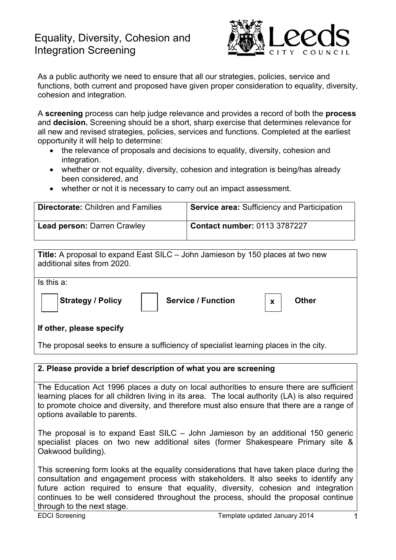# Equality, Diversity, Cohesion and Integration Screening



As a public authority we need to ensure that all our strategies, policies, service and functions, both current and proposed have given proper consideration to equality, diversity, cohesion and integration.

A **screening** process can help judge relevance and provides a record of both the **process** and **decision.** Screening should be a short, sharp exercise that determines relevance for all new and revised strategies, policies, services and functions. Completed at the earliest opportunity it will help to determine:

- the relevance of proposals and decisions to equality, diversity, cohesion and integration.
- whether or not equality, diversity, cohesion and integration is being/has already been considered, and
- whether or not it is necessary to carry out an impact assessment.

| <b>Directorate: Children and Families</b> | <b>Service area: Sufficiency and Participation</b> |
|-------------------------------------------|----------------------------------------------------|
| <b>Lead person: Darren Crawley</b>        | <b>Contact number: 0113 3787227</b>                |

| Title: A proposal to expand East SILC - John Jamieson by 150 places at two new<br>additional sites from 2020. |
|---------------------------------------------------------------------------------------------------------------|
| Is this a:                                                                                                    |
| <b>Strategy / Policy</b><br><b>Service / Function</b><br><b>Other</b><br>$\mathbf{x}$                         |
| If other, please specify                                                                                      |

The proposal seeks to ensure a sufficiency of specialist learning places in the city.

#### **2. Please provide a brief description of what you are screening**

The Education Act 1996 places a duty on local authorities to ensure there are sufficient learning places for all children living in its area. The local authority (LA) is also required to promote choice and diversity, and therefore must also ensure that there are a range of options available to parents.

The proposal is to expand East SILC – John Jamieson by an additional 150 generic specialist places on two new additional sites (former Shakespeare Primary site & Oakwood building).

This screening form looks at the equality considerations that have taken place during the consultation and engagement process with stakeholders. It also seeks to identify any future action required to ensure that equality, diversity, cohesion and integration continues to be well considered throughout the process, should the proposal continue through to the next stage.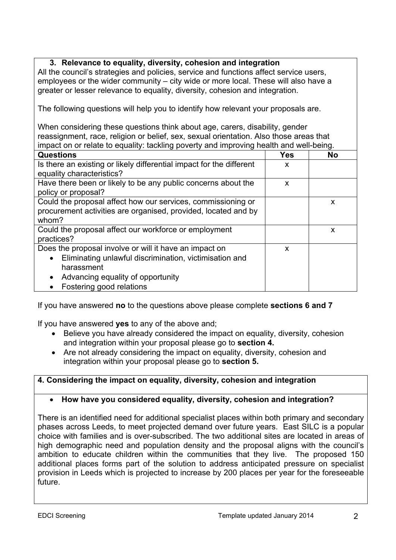### **3. Relevance to equality, diversity, cohesion and integration**

All the council's strategies and policies, service and functions affect service users, employees or the wider community – city wide or more local. These will also have a greater or lesser relevance to equality, diversity, cohesion and integration.

The following questions will help you to identify how relevant your proposals are.

When considering these questions think about age, carers, disability, gender reassignment, race, religion or belief, sex, sexual orientation. Also those areas that impact on or relate to equality: tackling poverty and improving health and well-being.

| <b>Questions</b>                                                                                                                                                                                             | <b>Yes</b> | <b>No</b> |
|--------------------------------------------------------------------------------------------------------------------------------------------------------------------------------------------------------------|------------|-----------|
| Is there an existing or likely differential impact for the different<br>equality characteristics?                                                                                                            | X          |           |
| Have there been or likely to be any public concerns about the<br>policy or proposal?                                                                                                                         | X          |           |
| Could the proposal affect how our services, commissioning or<br>procurement activities are organised, provided, located and by<br>whom?                                                                      |            | X         |
| Could the proposal affect our workforce or employment<br>practices?                                                                                                                                          |            | X         |
| Does the proposal involve or will it have an impact on<br>Eliminating unlawful discrimination, victimisation and<br>$\bullet$<br>harassment<br>Advancing equality of opportunity<br>Fostering good relations | X          |           |

If you have answered **no** to the questions above please complete **sections 6 and 7**

If you have answered **yes** to any of the above and;

- Believe you have already considered the impact on equality, diversity, cohesion and integration within your proposal please go to **section 4.**
- Are not already considering the impact on equality, diversity, cohesion and integration within your proposal please go to **section 5.**

## **4. Considering the impact on equality, diversity, cohesion and integration**

## **How have you considered equality, diversity, cohesion and integration?**

There is an identified need for additional specialist places within both primary and secondary phases across Leeds, to meet projected demand over future years. East SILC is a popular choice with families and is over-subscribed. The two additional sites are located in areas of high demographic need and population density and the proposal aligns with the council's ambition to educate children within the communities that they live. The proposed 150 additional places forms part of the solution to address anticipated pressure on specialist provision in Leeds which is projected to increase by 200 places per year for the foreseeable future.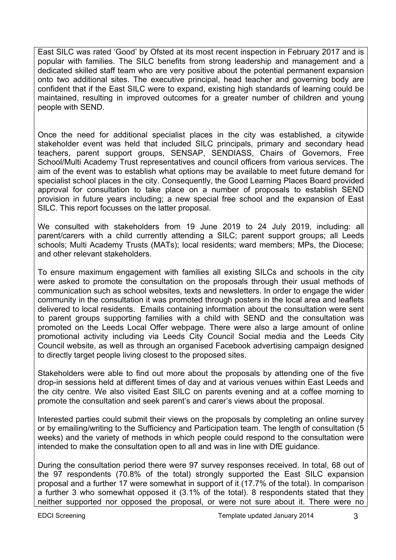East SILC was rated 'Good' by Ofsted at its most recent inspection in February 2017 and is popular with families. The SILC benefits from strong leadership and management and a dedicated skilled staff team who are very positive about the potential permanent expansion onto two additional sites. The executive principal, head teacher and governing body are confident that if the East SILC were to expand, existing high standards of learning could be maintained, resulting in improved outcomes for a greater number of children and young people with SEND.

Once the need for additional specialist places in the city was established, a citywide stakeholder event was held that included SILC principals, primary and secondary head teachers, parent support groups, SENSAP, SENDIASS, Chairs of Governors, Free School/Multi Academy Trust representatives and council officers from various services. The aim of the event was to establish what options may be available to meet future demand for specialist school places in the city. Consequently, the Good Learning Places Board provided approval for consultation to take place on a number of proposals to establish SEND provision in future years including; a new special free school and the expansion of East SILC. This report focusses on the latter proposal.

We consulted with stakeholders from 19 June 2019 to 24 July 2019, including: all parent/carers with a child currently attending a SILC; parent support groups; all Leeds schools; Multi Academy Trusts (MATs); local residents; ward members; MPs, the Diocese; and other relevant stakeholders.

To ensure maximum engagement with families all existing SILCs and schools in the city were asked to promote the consultation on the proposals through their usual methods of communication such as school websites, texts and newsletters. In order to engage the wider community in the consultation it was promoted through posters in the local area and leaflets delivered to local residents. Emails containing information about the consultation were sent to parent groups supporting families with a child with SEND and the consultation was promoted on the Leeds Local Offer webpage. There were also a large amount of online promotional activity including via Leeds City Council Social media and the Leeds City Council website, as well as through an organised Facebook advertising campaign designed to directly target people living closest to the proposed sites.

Stakeholders were able to find out more about the proposals by attending one of the five drop-in sessions held at different times of day and at various venues within East Leeds and the city centre. We also visited East SILC on parents evening and at a coffee morning to promote the consultation and seek parent's and carer's views about the proposal.

Interested parties could submit their views on the proposals by completing an online survey or by emailing/writing to the Sufficiency and Participation team. The length of consultation (5 weeks) and the variety of methods in which people could respond to the consultation were intended to make the consultation open to all and was in line with DfE guidance.

During the consultation period there were 97 survey responses received. In total, 68 out of the 97 respondents (70.8% of the total) strongly supported the East SILC expansion proposal and a further 17 were somewhat in support of it (17.7% of the total). In comparison a further 3 who somewhat opposed it (3.1% of the total). 8 respondents stated that they neither supported nor opposed the proposal, or were not sure about it. There were no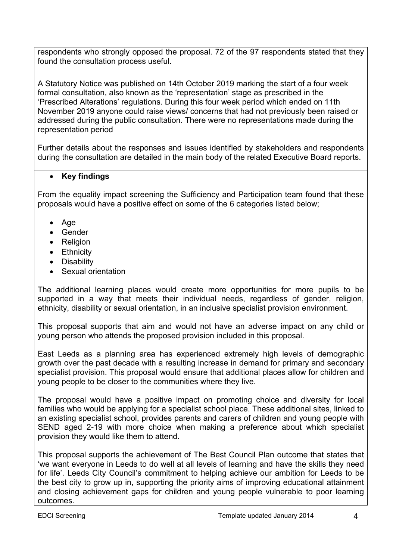respondents who strongly opposed the proposal. 72 of the 97 respondents stated that they found the consultation process useful.

A Statutory Notice was published on 14th October 2019 marking the start of a four week formal consultation, also known as the 'representation' stage as prescribed in the 'Prescribed Alterations' regulations. During this four week period which ended on 11th November 2019 anyone could raise views/ concerns that had not previously been raised or addressed during the public consultation. There were no representations made during the representation period

Further details about the responses and issues identified by stakeholders and respondents during the consultation are detailed in the main body of the related Executive Board reports.

# **Key findings**

From the equality impact screening the Sufficiency and Participation team found that these proposals would have a positive effect on some of the 6 categories listed below;

- $\bullet$  Age
- Gender
- Religion
- Ethnicity
- Disability
- Sexual orientation

The additional learning places would create more opportunities for more pupils to be supported in a way that meets their individual needs, regardless of gender, religion, ethnicity, disability or sexual orientation, in an inclusive specialist provision environment.

This proposal supports that aim and would not have an adverse impact on any child or young person who attends the proposed provision included in this proposal.

East Leeds as a planning area has experienced extremely high levels of demographic growth over the past decade with a resulting increase in demand for primary and secondary specialist provision. This proposal would ensure that additional places allow for children and young people to be closer to the communities where they live.

The proposal would have a positive impact on promoting choice and diversity for local families who would be applying for a specialist school place. These additional sites, linked to an existing specialist school, provides parents and carers of children and young people with SEND aged 2-19 with more choice when making a preference about which specialist provision they would like them to attend.

This proposal supports the achievement of The Best Council Plan outcome that states that 'we want everyone in Leeds to do well at all levels of learning and have the skills they need for life'. Leeds City Council's commitment to helping achieve our ambition for Leeds to be the best city to grow up in, supporting the priority aims of improving educational attainment and closing achievement gaps for children and young people vulnerable to poor learning outcomes.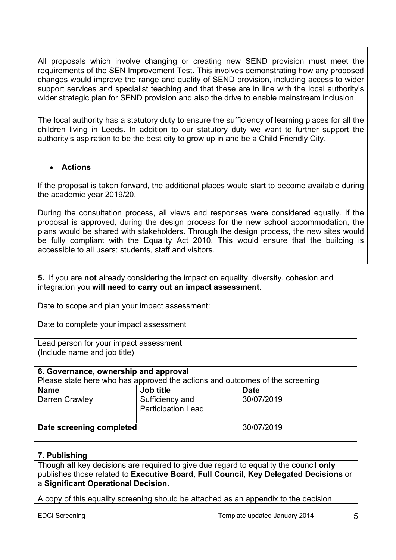All proposals which involve changing or creating new SEND provision must meet the requirements of the SEN Improvement Test. This involves demonstrating how any proposed changes would improve the range and quality of SEND provision, including access to wider support services and specialist teaching and that these are in line with the local authority's wider strategic plan for SEND provision and also the drive to enable mainstream inclusion.

The local authority has a statutory duty to ensure the sufficiency of learning places for all the children living in Leeds. In addition to our statutory duty we want to further support the authority's aspiration to be the best city to grow up in and be a Child Friendly City.

#### **Actions**

If the proposal is taken forward, the additional places would start to become available during the academic year 2019/20.

During the consultation process, all views and responses were considered equally. If the proposal is approved, during the design process for the new school accommodation, the plans would be shared with stakeholders. Through the design process, the new sites would be fully compliant with the Equality Act 2010. This would ensure that the building is accessible to all users; students, staff and visitors.

| 5. If you are not already considering the impact on equality, diversity, cohesion and<br>integration you will need to carry out an impact assessment. |  |  |
|-------------------------------------------------------------------------------------------------------------------------------------------------------|--|--|
| Date to scope and plan your impact assessment:                                                                                                        |  |  |
| Date to complete your impact assessment                                                                                                               |  |  |
| Lead person for your impact assessment<br>(Include name and job title)                                                                                |  |  |

| 6. Governance, ownership and approval                                        |                                              |             |  |  |
|------------------------------------------------------------------------------|----------------------------------------------|-------------|--|--|
| Please state here who has approved the actions and outcomes of the screening |                                              |             |  |  |
| <b>Name</b>                                                                  | Job title                                    | <b>Date</b> |  |  |
| Darren Crawley                                                               | Sufficiency and<br><b>Participation Lead</b> | 30/07/2019  |  |  |
| Date screening completed                                                     |                                              | 30/07/2019  |  |  |

#### **7. Publishing**

Though **all** key decisions are required to give due regard to equality the council **only** publishes those related to **Executive Board**, **Full Council, Key Delegated Decisions** or a **Significant Operational Decision.**

A copy of this equality screening should be attached as an appendix to the decision